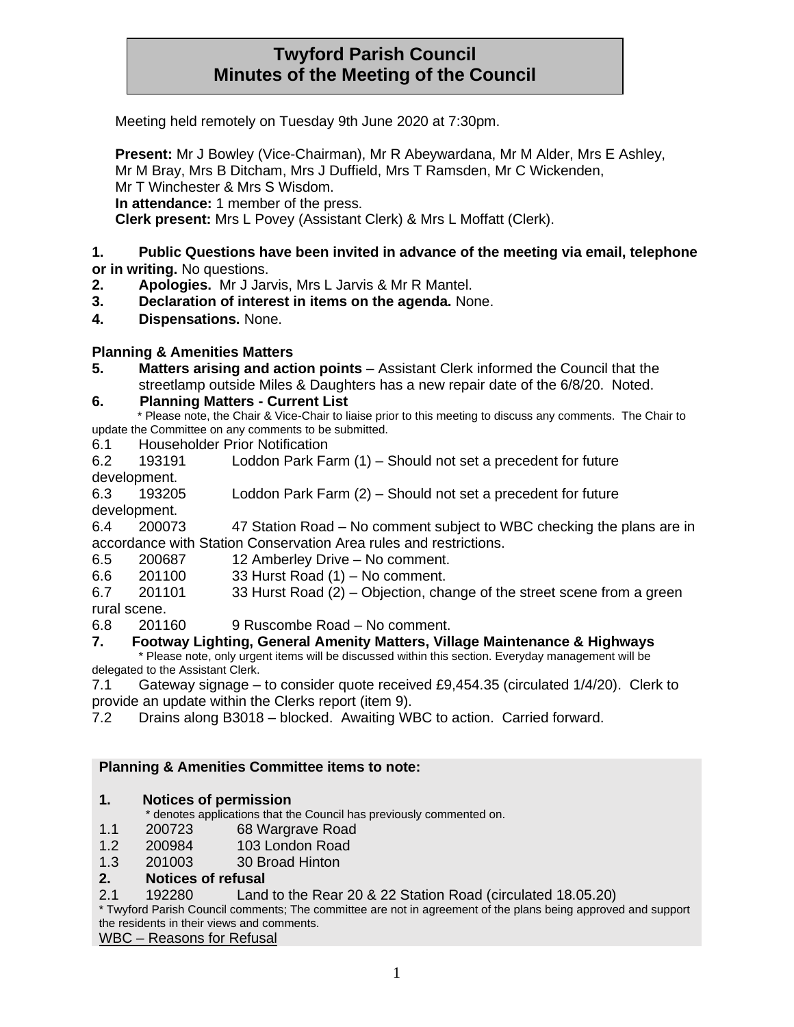# **Twyford Parish Council Minutes of the Meeting of the Council**

Meeting held remotely on Tuesday 9th June 2020 at 7:30pm.

**Present:** Mr J Bowley (Vice-Chairman), Mr R Abeywardana, Mr M Alder, Mrs E Ashley, Mr M Bray, Mrs B Ditcham, Mrs J Duffield, Mrs T Ramsden, Mr C Wickenden, Mr T Winchester & Mrs S Wisdom. **In attendance:** 1 member of the press.

**Clerk present:** Mrs L Povey (Assistant Clerk) & Mrs L Moffatt (Clerk).

#### **1. Public Questions have been invited in advance of the meeting via email, telephone or in writing.** No questions.

- **2. Apologies.** Mr J Jarvis, Mrs L Jarvis & Mr R Mantel.
- **3. Declaration of interest in items on the agenda.** None.
- **4. Dispensations.** None.

## **Planning & Amenities Matters**

**5. Matters arising and action points** – Assistant Clerk informed the Council that the streetlamp outside Miles & Daughters has a new repair date of the 6/8/20. Noted.

#### **6. Planning Matters - Current List**

- \* Please note, the Chair & Vice-Chair to liaise prior to this meeting to discuss any comments. The Chair to update the Committee on any comments to be submitted.
- 6.1 Householder Prior Notification
- 6.2 193191 Loddon Park Farm (1) Should not set a precedent for future development.
- 6.3 193205 Loddon Park Farm (2) Should not set a precedent for future
- development.
- 6.4 200073 47 Station Road No comment subject to WBC checking the plans are in accordance with Station Conservation Area rules and restrictions.
- 6.5 200687 12 Amberley Drive No comment.
- 6.6 201100 33 Hurst Road (1) No comment.
- 6.7 201101 33 Hurst Road (2) Objection, change of the street scene from a green
- rural scene.
- 6.8 201160 9 Ruscombe Road No comment.

## **7. Footway Lighting, General Amenity Matters, Village Maintenance & Highways**

\* Please note, only urgent items will be discussed within this section. Everyday management will be delegated to the Assistant Clerk.

7.1 Gateway signage – to consider quote received £9,454.35 (circulated 1/4/20). Clerk to provide an update within the Clerks report (item 9).

7.2 Drains along B3018 – blocked. Awaiting WBC to action. Carried forward.

## **Planning & Amenities Committee items to note:**

## **1. Notices of permission**

- \* denotes applications that the Council has previously commented on.
- 1.1 200723 68 Wargrave Road
- 1.2 200984 103 London Road
- 1.3 201003 30 Broad Hinton

## **2. Notices of refusal**

2.1 192280 Land to the Rear 20 & 22 Station Road (circulated 18.05.20)

\* Twyford Parish Council comments; The committee are not in agreement of the plans being approved and support the residents in their views and comments.

WBC – Reasons for Refusal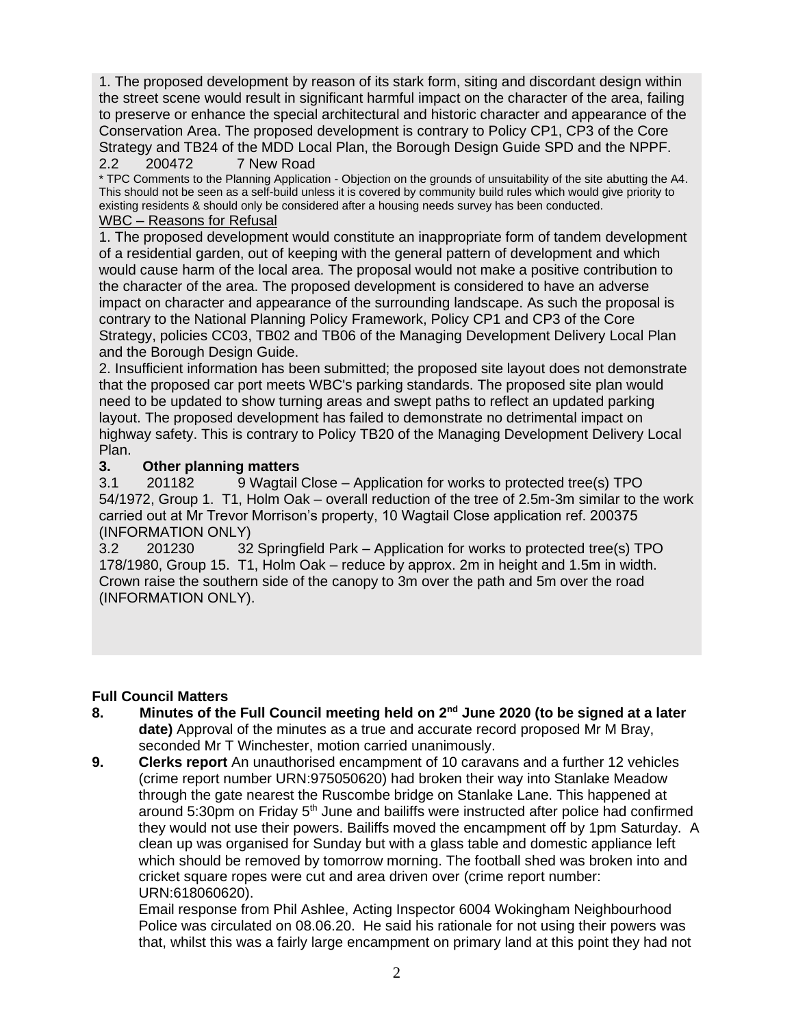1. The proposed development by reason of its stark form, siting and discordant design within the street scene would result in significant harmful impact on the character of the area, failing to preserve or enhance the special architectural and historic character and appearance of the Conservation Area. The proposed development is contrary to Policy CP1, CP3 of the Core Strategy and TB24 of the MDD Local Plan, the Borough Design Guide SPD and the NPPF. 2.2 200472 7 New Road

\* TPC Comments to the Planning Application - Objection on the grounds of unsuitability of the site abutting the A4. This should not be seen as a self-build unless it is covered by community build rules which would give priority to existing residents & should only be considered after a housing needs survey has been conducted.

## WBC – Reasons for Refusal

1. The proposed development would constitute an inappropriate form of tandem development of a residential garden, out of keeping with the general pattern of development and which would cause harm of the local area. The proposal would not make a positive contribution to the character of the area. The proposed development is considered to have an adverse impact on character and appearance of the surrounding landscape. As such the proposal is contrary to the National Planning Policy Framework, Policy CP1 and CP3 of the Core Strategy, policies CC03, TB02 and TB06 of the Managing Development Delivery Local Plan and the Borough Design Guide.

2. Insufficient information has been submitted; the proposed site layout does not demonstrate that the proposed car port meets WBC's parking standards. The proposed site plan would need to be updated to show turning areas and swept paths to reflect an updated parking layout. The proposed development has failed to demonstrate no detrimental impact on highway safety. This is contrary to Policy TB20 of the Managing Development Delivery Local Plan.

## **3. Other planning matters**

3.1 201182 9 Wagtail Close – Application for works to protected tree(s) TPO 54/1972, Group 1. T1, Holm Oak – overall reduction of the tree of 2.5m-3m similar to the work carried out at Mr Trevor Morrison's property, 10 Wagtail Close application ref. 200375 (INFORMATION ONLY)

3.2 201230 32 Springfield Park – Application for works to protected tree(s) TPO 178/1980, Group 15. T1, Holm Oak – reduce by approx. 2m in height and 1.5m in width. Crown raise the southern side of the canopy to 3m over the path and 5m over the road (INFORMATION ONLY).

# **Full Council Matters**

- **8. Minutes of the Full Council meeting held on 2nd June 2020 (to be signed at a later date)** Approval of the minutes as a true and accurate record proposed Mr M Bray, seconded Mr T Winchester, motion carried unanimously.
- **9. Clerks report** An unauthorised encampment of 10 caravans and a further 12 vehicles (crime report number URN:975050620) had broken their way into Stanlake Meadow through the gate nearest the Ruscombe bridge on Stanlake Lane. This happened at around 5:30pm on Friday 5th June and bailiffs were instructed after police had confirmed they would not use their powers. Bailiffs moved the encampment off by 1pm Saturday. A clean up was organised for Sunday but with a glass table and domestic appliance left which should be removed by tomorrow morning. The football shed was broken into and cricket square ropes were cut and area driven over (crime report number: URN:618060620).

Email response from Phil Ashlee, Acting Inspector 6004 Wokingham Neighbourhood Police was circulated on 08.06.20. He said his rationale for not using their powers was that, whilst this was a fairly large encampment on primary land at this point they had not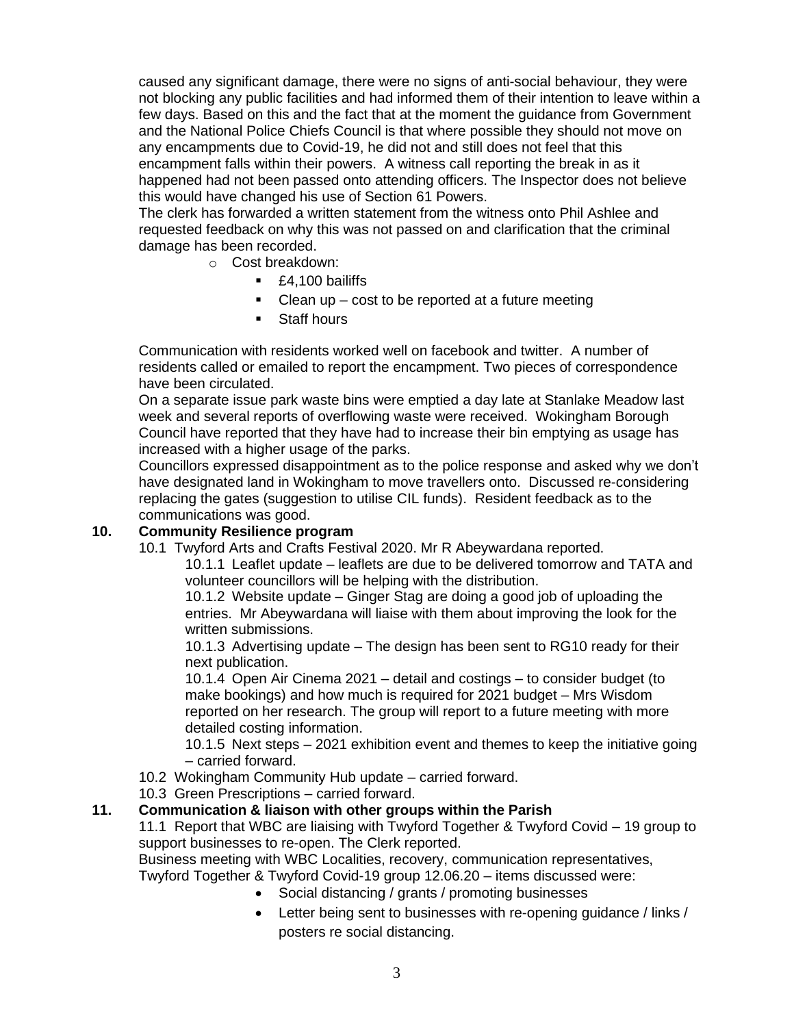caused any significant damage, there were no signs of anti-social behaviour, they were not blocking any public facilities and had informed them of their intention to leave within a few days. Based on this and the fact that at the moment the guidance from Government and the National Police Chiefs Council is that where possible they should not move on any encampments due to Covid-19, he did not and still does not feel that this encampment falls within their powers. A witness call reporting the break in as it happened had not been passed onto attending officers. The Inspector does not believe this would have changed his use of Section 61 Powers.

The clerk has forwarded a written statement from the witness onto Phil Ashlee and requested feedback on why this was not passed on and clarification that the criminal damage has been recorded.

- o Cost breakdown:
	- £4,100 bailiffs
	- $\blacksquare$  Clean up cost to be reported at a future meeting
	- Staff hours

Communication with residents worked well on facebook and twitter. A number of residents called or emailed to report the encampment. Two pieces of correspondence have been circulated.

On a separate issue park waste bins were emptied a day late at Stanlake Meadow last week and several reports of overflowing waste were received. Wokingham Borough Council have reported that they have had to increase their bin emptying as usage has increased with a higher usage of the parks.

Councillors expressed disappointment as to the police response and asked why we don't have designated land in Wokingham to move travellers onto. Discussed re-considering replacing the gates (suggestion to utilise CIL funds). Resident feedback as to the communications was good.

#### **10. Community Resilience program**

10.1 Twyford Arts and Crafts Festival 2020. Mr R Abeywardana reported.

10.1.1 Leaflet update – leaflets are due to be delivered tomorrow and TATA and volunteer councillors will be helping with the distribution.

10.1.2 Website update – Ginger Stag are doing a good job of uploading the entries. Mr Abeywardana will liaise with them about improving the look for the written submissions.

10.1.3 Advertising update – The design has been sent to RG10 ready for their next publication.

10.1.4 Open Air Cinema 2021 – detail and costings – to consider budget (to make bookings) and how much is required for 2021 budget – Mrs Wisdom reported on her research. The group will report to a future meeting with more detailed costing information.

10.1.5 Next steps – 2021 exhibition event and themes to keep the initiative going – carried forward.

- 10.2 Wokingham Community Hub update carried forward.
- 10.3 Green Prescriptions carried forward.

## **11. Communication & liaison with other groups within the Parish**

11.1 Report that WBC are liaising with Twyford Together & Twyford Covid – 19 group to support businesses to re-open. The Clerk reported.

Business meeting with WBC Localities, recovery, communication representatives,

Twyford Together & Twyford Covid-19 group 12.06.20 – items discussed were:

- Social distancing / grants / promoting businesses
- Letter being sent to businesses with re-opening guidance / links / posters re social distancing.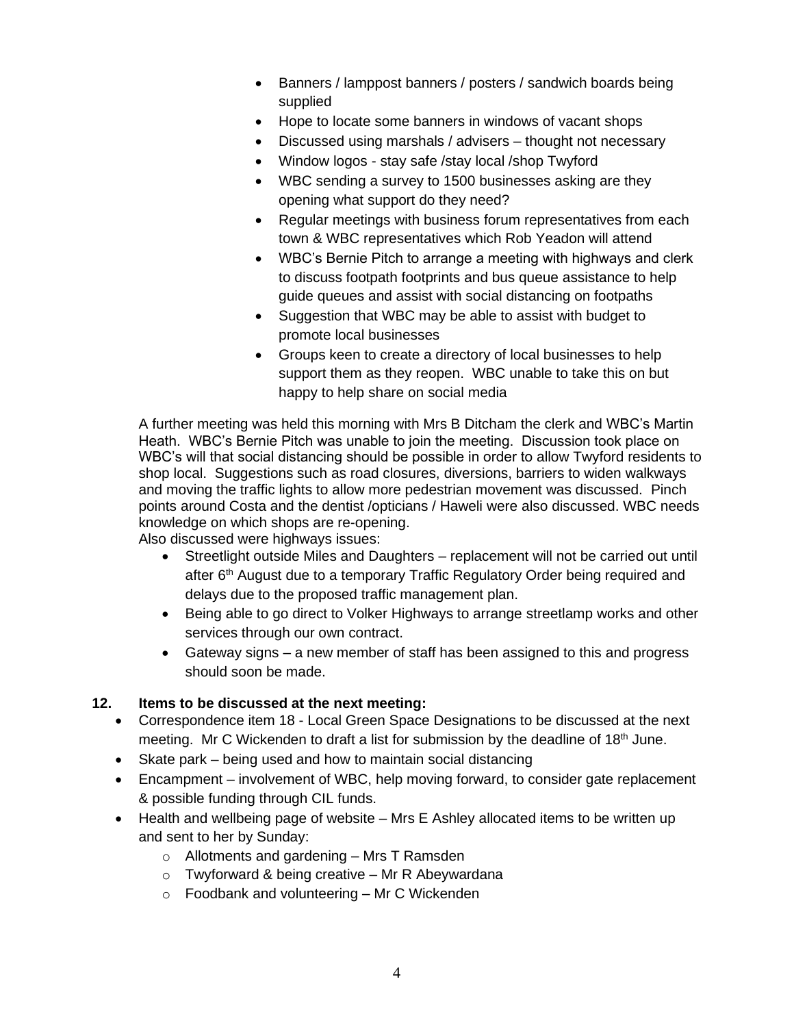- Banners / lamppost banners / posters / sandwich boards being supplied
- Hope to locate some banners in windows of vacant shops
- Discussed using marshals / advisers thought not necessary
- Window logos stay safe /stay local /shop Twyford
- WBC sending a survey to 1500 businesses asking are they opening what support do they need?
- Regular meetings with business forum representatives from each town & WBC representatives which Rob Yeadon will attend
- WBC's Bernie Pitch to arrange a meeting with highways and clerk to discuss footpath footprints and bus queue assistance to help guide queues and assist with social distancing on footpaths
- Suggestion that WBC may be able to assist with budget to promote local businesses
- Groups keen to create a directory of local businesses to help support them as they reopen. WBC unable to take this on but happy to help share on social media

A further meeting was held this morning with Mrs B Ditcham the clerk and WBC's Martin Heath. WBC's Bernie Pitch was unable to join the meeting. Discussion took place on WBC's will that social distancing should be possible in order to allow Twyford residents to shop local. Suggestions such as road closures, diversions, barriers to widen walkways and moving the traffic lights to allow more pedestrian movement was discussed. Pinch points around Costa and the dentist /opticians / Haweli were also discussed. WBC needs knowledge on which shops are re-opening.

Also discussed were highways issues:

- Streetlight outside Miles and Daughters replacement will not be carried out until after 6<sup>th</sup> August due to a temporary Traffic Regulatory Order being required and delays due to the proposed traffic management plan.
- Being able to go direct to Volker Highways to arrange streetlamp works and other services through our own contract.
- Gateway signs a new member of staff has been assigned to this and progress should soon be made.

# **12. Items to be discussed at the next meeting:**

- Correspondence item 18 Local Green Space Designations to be discussed at the next meeting. Mr C Wickenden to draft a list for submission by the deadline of 18<sup>th</sup> June.
- Skate park being used and how to maintain social distancing
- Encampment involvement of WBC, help moving forward, to consider gate replacement & possible funding through CIL funds.
- Health and wellbeing page of website Mrs E Ashley allocated items to be written up and sent to her by Sunday:
	- o Allotments and gardening Mrs T Ramsden
	- $\circ$  Twyforward & being creative Mr R Abeywardana
	- $\circ$  Foodbank and volunteering Mr C Wickenden